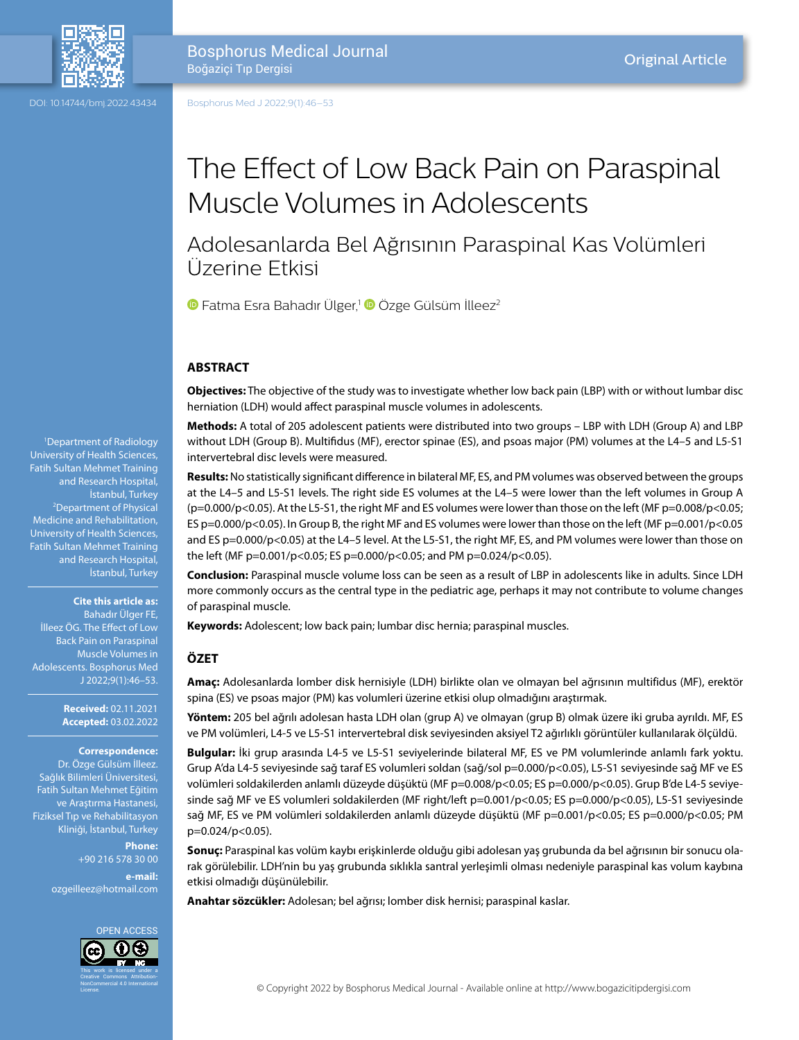

DOI: 10.14744/bmj.2022.43434

Bosphorus Medical Journal Boğaziçi Tıp Dergisi

Bosphorus Med J 2022;9(1):46–53

# The Effect of Low Back Pain on Paraspinal Muscle Volumes in Adolescents

## Adolesanlarda Bel Ağrısının Paraspinal Kas Volümleri Üzerine Etkisi

**•**Fatma Esra Bahadır Ülger,<sup>1</sup> • Özge Gülsüm İlleez<sup>2</sup>

## **ABSTRACT**

**Objectives:** The objective of the study was to investigate whether low back pain (LBP) with or without lumbar disc herniation (LDH) would affect paraspinal muscle volumes in adolescents.

**Methods:** A total of 205 adolescent patients were distributed into two groups – LBP with LDH (Group A) and LBP without LDH (Group B). Multifidus (MF), erector spinae (ES), and psoas major (PM) volumes at the L4–5 and L5-S1 intervertebral disc levels were measured.

**Results:** No statistically significant difference in bilateral MF, ES, and PM volumes was observed between the groups at the L4–5 and L5-S1 levels. The right side ES volumes at the L4–5 were lower than the left volumes in Group A (p=0.000/p<0.05). At the L5-S1, the right MF and ES volumes were lower than those on the left (MF p=0.008/p<0.05; ES p=0.000/p<0.05). In Group B, the right MF and ES volumes were lower than those on the left (MF p=0.001/p<0.05 and ES p=0.000/p<0.05) at the L4-5 level. At the L5-S1, the right MF, ES, and PM volumes were lower than those on the left (MF p=0.001/p<0.05; ES p=0.000/p<0.05; and PM p=0.024/p<0.05).

**Conclusion:** Paraspinal muscle volume loss can be seen as a result of LBP in adolescents like in adults. Since LDH more commonly occurs as the central type in the pediatric age, perhaps it may not contribute to volume changes of paraspinal muscle.

**Keywords:** Adolescent; low back pain; lumbar disc hernia; paraspinal muscles.

#### **ÖZET**

**Amaç:** Adolesanlarda lomber disk hernisiyle (LDH) birlikte olan ve olmayan bel ağrısının multifidus (MF), erektör spina (ES) ve psoas major (PM) kas volumleri üzerine etkisi olup olmadığını araştırmak.

**Yöntem:** 205 bel ağrılı adolesan hasta LDH olan (grup A) ve olmayan (grup B) olmak üzere iki gruba ayrıldı. MF, ES ve PM volümleri, L4-5 ve L5-S1 intervertebral disk seviyesinden aksiyel T2 ağırlıklı görüntüler kullanılarak ölçüldü.

**Bulgular:** İki grup arasında L4-5 ve L5-S1 seviyelerinde bilateral MF, ES ve PM volumlerinde anlamlı fark yoktu. Grup A'da L4-5 seviyesinde sağ taraf ES volumleri soldan (sağ/sol p=0.000/p<0.05), L5-S1 seviyesinde sağ MF ve ES volümleri soldakilerden anlamlı düzeyde düşüktü (MF p=0.008/p<0.05; ES p=0.000/p<0.05). Grup B'de L4-5 seviyesinde sağ MF ve ES volumleri soldakilerden (MF right/left p=0.001/p<0.05; ES p=0.000/p<0.05), L5-S1 seviyesinde sağ MF, ES ve PM volümleri soldakilerden anlamlı düzeyde düşüktü (MF p=0.001/p<0.05; ES p=0.000/p<0.05; PM p=0.024/p<0.05).

**Sonuç:** Paraspinal kas volüm kaybı erişkinlerde olduğu gibi adolesan yaş grubunda da bel ağrısının bir sonucu olarak görülebilir. LDH'nin bu yaş grubunda sıklıkla santral yerleşimli olması nedeniyle paraspinal kas volum kaybına etkisi olmadığı düşünülebilir.

**Anahtar sözcükler:** Adolesan; bel ağrısı; lomber disk hernisi; paraspinal kaslar.

1 Department of Radiology University of Health Sciences, Fatih Sultan Mehmet Training and Research Hospital, Istanbul, Turkey<br>Department of Physical Medicine and Rehabilitation, University of Health Sciences, Fatih Sultan Mehmet Training and Research Hospital, İstanbul, Turkey

**Cite this article as:**

Bahadır Ülger FE, İlleez ÖG. The Effect of Low Back Pain on Paraspinal Muscle Volumes in Adolescents. Bosphorus Med J 2022;9(1):46–53.

> **Received:** 02.11.2021 **Accepted:** 03.02.2022

#### **Correspondence:**

Dr. Özge Gülsüm İlleez. Sağlık Bilimleri Üniversitesi, Fatih Sultan Mehmet Eğitim ve Araştırma Hastanesi, Fiziksel Tıp ve Rehabilitasyon Kliniği, İstanbul, Turkey

> **Phone:** +90 216 578 30 00 **e-mail:**

ozgeilleez@hotmail.com

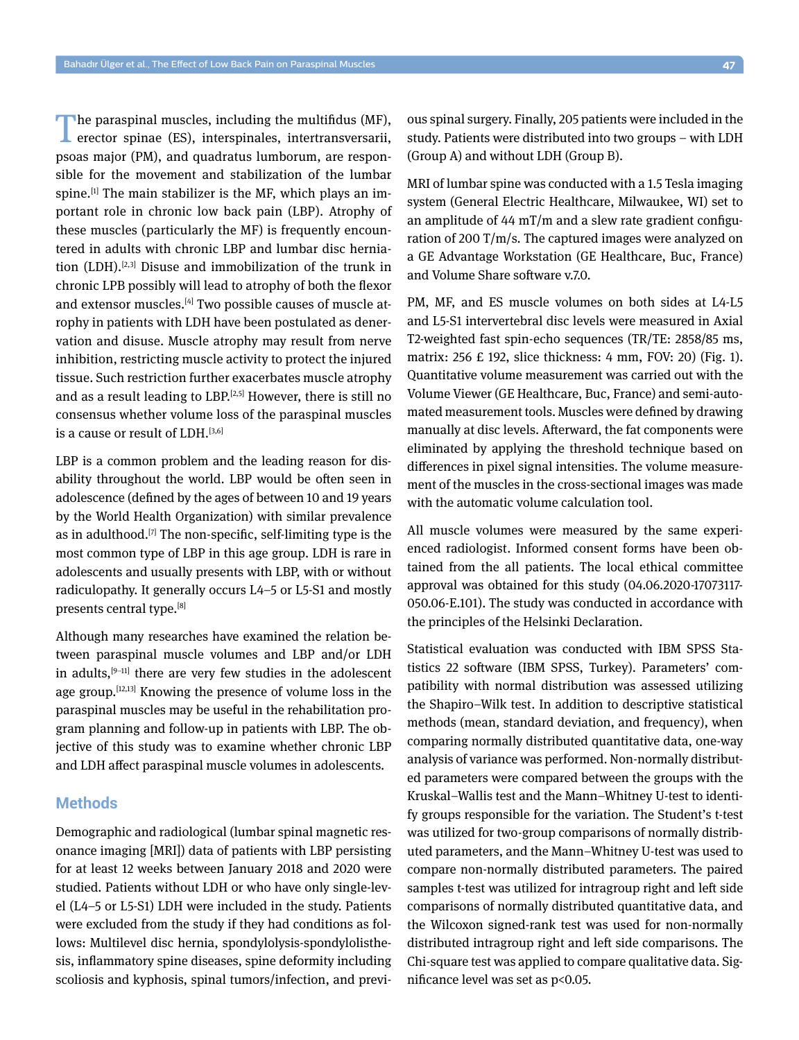The paraspinal muscles, including the multifidus (MF), erector spinae (ES), interspinales, intertransversarii, psoas major (PM), and quadratus lumborum, are responsible for the movement and stabilization of the lumbar spine. $[1]$  The main stabilizer is the MF, which plays an important role in chronic low back pain (LBP). Atrophy of these muscles (particularly the MF) is frequently encountered in adults with chronic LBP and lumbar disc herniation (LDH).<sup>[2,3]</sup> Disuse and immobilization of the trunk in chronic LPB possibly will lead to atrophy of both the flexor and extensor muscles.[4] Two possible causes of muscle atrophy in patients with LDH have been postulated as denervation and disuse. Muscle atrophy may result from nerve inhibition, restricting muscle activity to protect the injured tissue. Such restriction further exacerbates muscle atrophy and as a result leading to  $LBP<sub>1</sub>(2,5)$  However, there is still no consensus whether volume loss of the paraspinal muscles is a cause or result of LDH.<sup>[3,6]</sup>

LBP is a common problem and the leading reason for disability throughout the world. LBP would be often seen in adolescence (defined by the ages of between 10 and 19 years by the World Health Organization) with similar prevalence as in adulthood.<sup>[7]</sup> The non-specific, self-limiting type is the most common type of LBP in this age group. LDH is rare in adolescents and usually presents with LBP, with or without radiculopathy. It generally occurs L4–5 or L5-S1 and mostly presents central type.<sup>[8]</sup>

Although many researches have examined the relation between paraspinal muscle volumes and LBP and/or LDH in adults, $[9-11]$  there are very few studies in the adolescent age group.[12,13] Knowing the presence of volume loss in the paraspinal muscles may be useful in the rehabilitation program planning and follow-up in patients with LBP. The objective of this study was to examine whether chronic LBP and LDH affect paraspinal muscle volumes in adolescents.

#### **Methods**

Demographic and radiological (lumbar spinal magnetic resonance imaging [MRI]) data of patients with LBP persisting for at least 12 weeks between January 2018 and 2020 were studied. Patients without LDH or who have only single-level (L4–5 or L5-S1) LDH were included in the study. Patients were excluded from the study if they had conditions as follows: Multilevel disc hernia, spondylolysis-spondylolisthesis, inflammatory spine diseases, spine deformity including scoliosis and kyphosis, spinal tumors/infection, and previous spinal surgery. Finally, 205 patients were included in the study. Patients were distributed into two groups – with LDH (Group A) and without LDH (Group B).

MRI of lumbar spine was conducted with a 1.5 Tesla imaging system (General Electric Healthcare, Milwaukee, WI) set to an amplitude of 44 mT/m and a slew rate gradient configuration of 200 T/m/s. The captured images were analyzed on a GE Advantage Workstation (GE Healthcare, Buc, France) and Volume Share software v.7.0.

PM, MF, and ES muscle volumes on both sides at L4-L5 and L5-S1 intervertebral disc levels were measured in Axial T2-weighted fast spin-echo sequences (TR/TE: 2858/85 ms, matrix: 256 £ 192, slice thickness: 4 mm, FOV: 20) (Fig. 1). Quantitative volume measurement was carried out with the Volume Viewer (GE Healthcare, Buc, France) and semi-automated measurement tools. Muscles were defined by drawing manually at disc levels. Afterward, the fat components were eliminated by applying the threshold technique based on differences in pixel signal intensities. The volume measurement of the muscles in the cross-sectional images was made with the automatic volume calculation tool.

All muscle volumes were measured by the same experienced radiologist. Informed consent forms have been obtained from the all patients. The local ethical committee approval was obtained for this study (04.06.2020-17073117- 050.06-E.101). The study was conducted in accordance with the principles of the Helsinki Declaration.

Statistical evaluation was conducted with IBM SPSS Statistics 22 software (IBM SPSS, Turkey). Parameters' compatibility with normal distribution was assessed utilizing the Shapiro–Wilk test. In addition to descriptive statistical methods (mean, standard deviation, and frequency), when comparing normally distributed quantitative data, one-way analysis of variance was performed. Non-normally distributed parameters were compared between the groups with the Kruskal–Wallis test and the Mann–Whitney U-test to identify groups responsible for the variation. The Student's t-test was utilized for two-group comparisons of normally distributed parameters, and the Mann–Whitney U-test was used to compare non-normally distributed parameters. The paired samples t-test was utilized for intragroup right and left side comparisons of normally distributed quantitative data, and the Wilcoxon signed-rank test was used for non-normally distributed intragroup right and left side comparisons. The Chi-square test was applied to compare qualitative data. Significance level was set as p<0.05.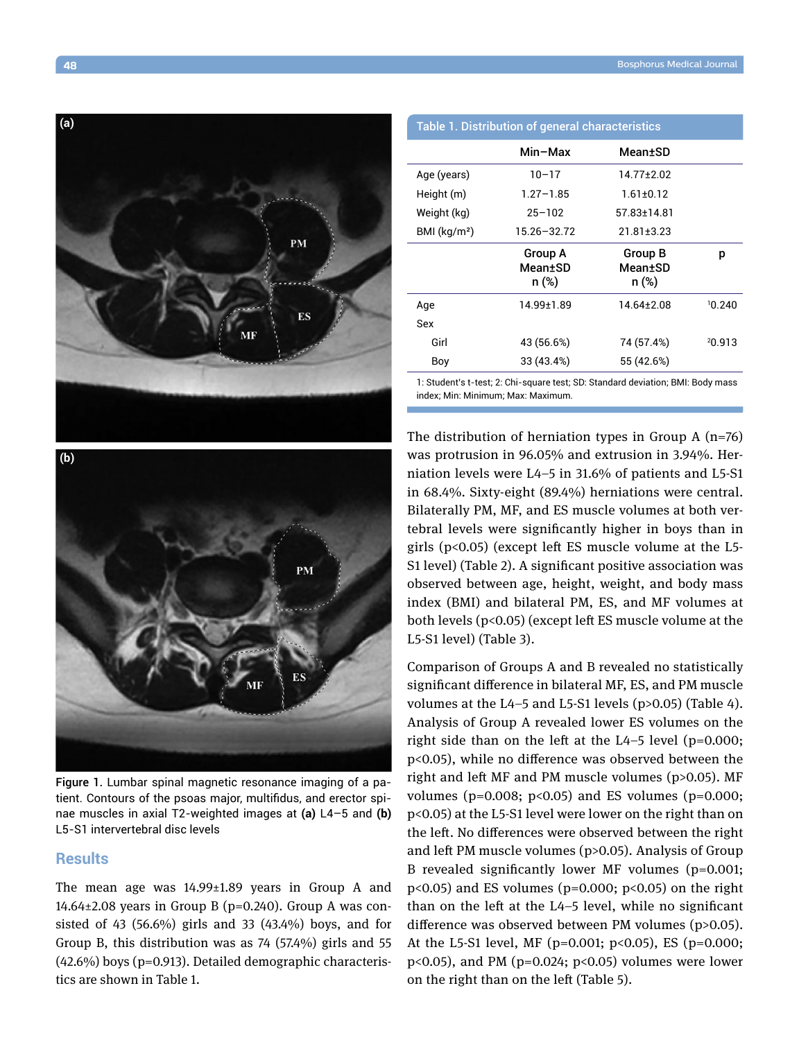

| <u>Table 1. Distribution of general characteristics</u> |                                    |                                    |        |
|---------------------------------------------------------|------------------------------------|------------------------------------|--------|
|                                                         | Min-Max                            | Mean±SD                            |        |
| Age (years)                                             | $10 - 17$                          | 14.77±2.02                         |        |
| Height (m)                                              | $1,27-1.85$                        | $1.61 \pm 0.12$                    |        |
| Weight (kg)                                             | $25 - 102$                         | 57.83±14.81                        |        |
| BMI $(kq/m2)$                                           | 15.26-32.72                        | $21.81 \pm 3.23$                   |        |
|                                                         | <b>Group A</b><br>Mean±SD<br>n (%) | <b>Group B</b><br>Mean±SD<br>n (%) | p      |
| Age                                                     | 14.99±1.89                         | 14.64±2.08                         | 10.240 |
| Sex                                                     |                                    |                                    |        |
| Girl                                                    | 43 (56.6%)                         | 74 (57.4%)                         | 20.913 |
| Boy                                                     | 33 (43.4%)                         | 55 (42.6%)                         |        |
|                                                         |                                    |                                    |        |

1: Student's t-test; 2: Chi-square test; SD: Standard deviation; BMI: Body mass index; Min: Minimum; Max: Maximum.



Figure 1. Lumbar spinal magnetic resonance imaging of a patient. Contours of the psoas major, multifidus, and erector spinae muscles in axial T2-weighted images at **(a)** L4–5 and **(b)** L5-S1 intervertebral disc levels

#### **Results**

The mean age was 14.99±1.89 years in Group A and  $14.64\pm2.08$  years in Group B (p=0.240). Group A was consisted of 43 (56.6%) girls and 33 (43.4%) boys, and for Group B, this distribution was as 74 (57.4%) girls and 55 (42.6%) boys (p=0.913). Detailed demographic characteristics are shown in Table 1.

The distribution of herniation types in Group A  $(n=76)$ was protrusion in 96.05% and extrusion in 3.94%. Herniation levels were L4–5 in 31.6% of patients and L5-S1 in 68.4%. Sixty-eight (89.4%) herniations were central. Bilaterally PM, MF, and ES muscle volumes at both vertebral levels were significantly higher in boys than in girls (p<0.05) (except left ES muscle volume at the L5- S1 level) (Table 2). A significant positive association was observed between age, height, weight, and body mass index (BMI) and bilateral PM, ES, and MF volumes at both levels (p<0.05) (except left ES muscle volume at the L5-S1 level) (Table 3).

Comparison of Groups A and B revealed no statistically significant difference in bilateral MF, ES, and PM muscle volumes at the L4–5 and L5-S1 levels (p>0.05) (Table 4). Analysis of Group A revealed lower ES volumes on the right side than on the left at the  $L4-5$  level (p=0.000; p<0.05), while no difference was observed between the right and left MF and PM muscle volumes (p>0.05). MF volumes ( $p=0.008$ ;  $p<0.05$ ) and ES volumes ( $p=0.000$ ; p<0.05) at the L5-S1 level were lower on the right than on the left. No differences were observed between the right and left PM muscle volumes (p>0.05). Analysis of Group B revealed significantly lower MF volumes (p=0.001;  $p<0.05$ ) and ES volumes ( $p=0.000$ ;  $p<0.05$ ) on the right than on the left at the L4–5 level, while no significant difference was observed between PM volumes (p>0.05). At the L5-S1 level, MF (p=0.001; p<0.05), ES (p=0.000; p<0.05), and PM ( $p=0.024$ ;  $p<0.05$ ) volumes were lower on the right than on the left (Table 5).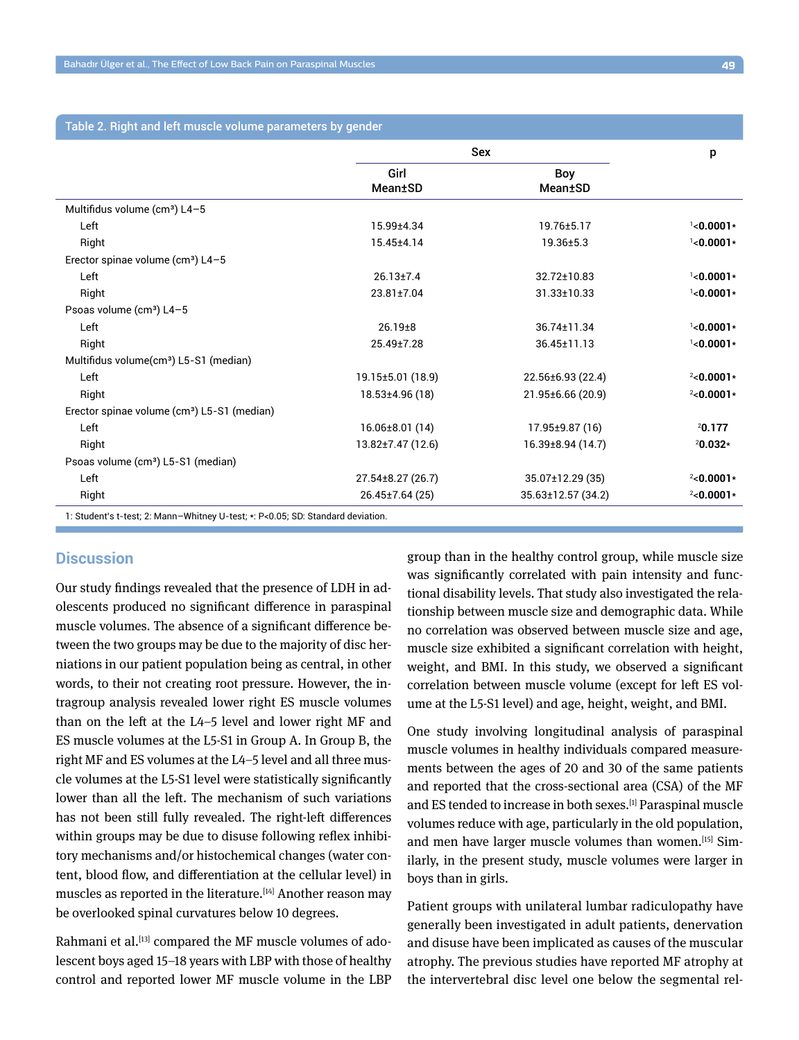## Table 2. Right and left muscle volume parameters by gender

|                                                                                 | Sex                    |                        | p            |
|---------------------------------------------------------------------------------|------------------------|------------------------|--------------|
|                                                                                 | Girl<br><b>Mean±SD</b> | Boy<br><b>Mean</b> ±SD |              |
| Multifidus volume (cm <sup>3</sup> ) L4-5                                       |                        |                        |              |
| Left                                                                            | 15.99±4.34             | 19.76±5.17             | $1$ <0.0001* |
| Right                                                                           | 15.45±4.14             | $19.36 \pm 5.3$        | $1$ <0.0001* |
| Erector spinae volume (cm <sup>3</sup> ) L4-5                                   |                        |                        |              |
| Left                                                                            | $26.13 \pm 7.4$        | 32.72±10.83            | $1$ <0.0001* |
| Right                                                                           | $23.81 + 7.04$         | 31.33±10.33            | $1$ <0.0001* |
| Psoas volume (cm <sup>3</sup> ) L4-5                                            |                        |                        |              |
| Left                                                                            | $26.19 + 8$            | 36.74±11.34            | $1$ <0.0001* |
| Right                                                                           | 25.49±7.28             | 36.45±11.13            | $1$ <0.0001* |
| Multifidus volume(cm <sup>3</sup> ) L5-S1 (median)                              |                        |                        |              |
| Left                                                                            | 19.15±5.01 (18.9)      | 22.56±6.93 (22.4)      | $2$ <0.0001* |
| Right                                                                           | 18.53±4.96 (18)        | 21.95±6.66 (20.9)      | $2$ <0.0001* |
| Erector spinae volume (cm <sup>3</sup> ) L5-S1 (median)                         |                        |                        |              |
| Left                                                                            | $16.06 \pm 8.01(14)$   | 17.95±9.87 (16)        | 20.177       |
| Right                                                                           | 13.82±7.47 (12.6)      | 16.39±8.94 (14.7)      | $20.032*$    |
| Psoas volume (cm <sup>3</sup> ) L5-S1 (median)                                  |                        |                        |              |
| Left                                                                            | 27.54±8.27 (26.7)      | 35.07±12.29 (35)       | $2$ <0.0001* |
| Right                                                                           | $26.45 \pm 7.64(25)$   | 35.63±12.57 (34.2)     | $2$ <0.0001* |
| 1: Student's t-test; 2: Mann-Whitney U-test; *: P<0.05; SD: Standard deviation. |                        |                        |              |

## **Discussion**

Our study findings revealed that the presence of LDH in adolescents produced no significant difference in paraspinal muscle volumes. The absence of a significant difference between the two groups may be due to the majority of disc herniations in our patient population being as central, in other words, to their not creating root pressure. However, the intragroup analysis revealed lower right ES muscle volumes than on the left at the L4–5 level and lower right MF and ES muscle volumes at the L5-S1 in Group A. In Group B, the right MF and ES volumes at the L4–5 level and all three muscle volumes at the L5-S1 level were statistically significantly lower than all the left. The mechanism of such variations has not been still fully revealed. The right-left differences within groups may be due to disuse following reflex inhibitory mechanisms and/or histochemical changes (water content, blood flow, and differentiation at the cellular level) in muscles as reported in the literature.<sup>[14]</sup> Another reason may be overlooked spinal curvatures below 10 degrees.

Rahmani et al.<sup>[13]</sup> compared the MF muscle volumes of adolescent boys aged 15–18 years with LBP with those of healthy control and reported lower MF muscle volume in the LBP group than in the healthy control group, while muscle size was significantly correlated with pain intensity and functional disability levels. That study also investigated the relationship between muscle size and demographic data. While no correlation was observed between muscle size and age, muscle size exhibited a significant correlation with height, weight, and BMI. In this study, we observed a significant correlation between muscle volume (except for left ES volume at the L5-S1 level) and age, height, weight, and BMI.

One study involving longitudinal analysis of paraspinal muscle volumes in healthy individuals compared measurements between the ages of 20 and 30 of the same patients and reported that the cross-sectional area (CSA) of the MF and ES tended to increase in both sexes.[1] Paraspinal muscle volumes reduce with age, particularly in the old population, and men have larger muscle volumes than women.<sup>[15]</sup> Similarly, in the present study, muscle volumes were larger in boys than in girls.

Patient groups with unilateral lumbar radiculopathy have generally been investigated in adult patients, denervation and disuse have been implicated as causes of the muscular atrophy. The previous studies have reported MF atrophy at the intervertebral disc level one below the segmental rel-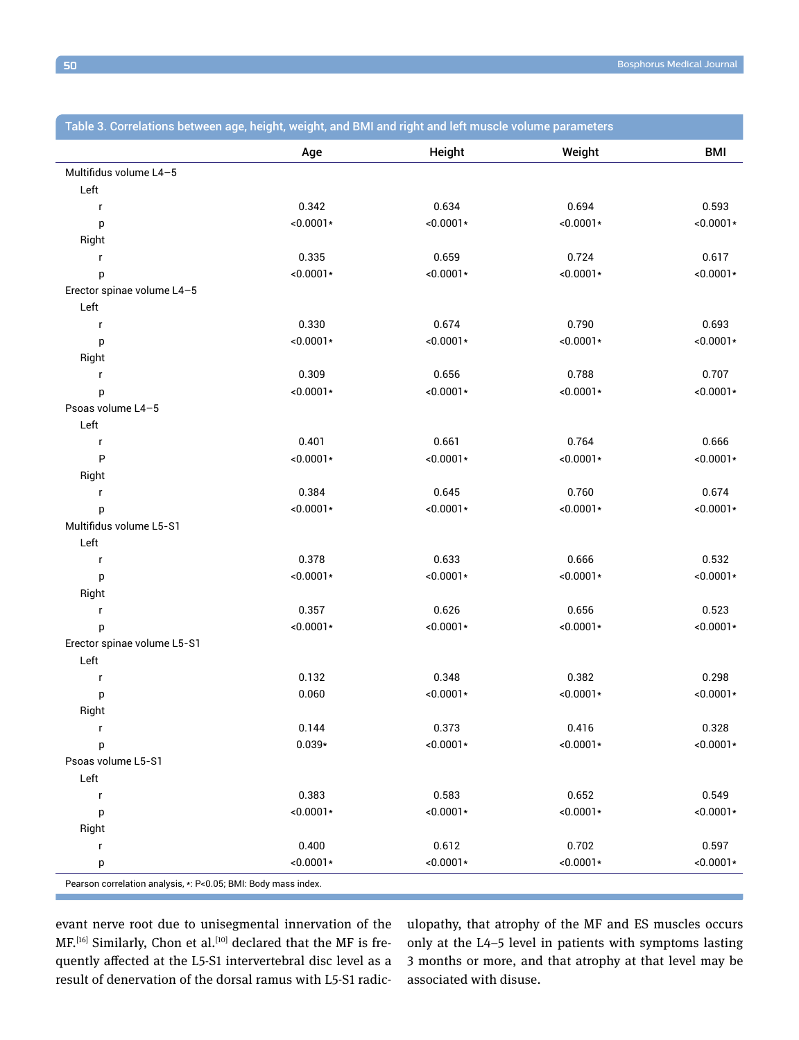| Height<br><b>BMI</b><br>Weight<br>Age<br>Multifidus volume L4-5<br>Left<br>0.342<br>0.634<br>0.694<br>0.593<br>$\mathsf{r}$<br>$<0.0001*$<br>$<0.0001*$<br>$<0.0001*$<br>$<0.0001*$<br>p<br>Right<br>0.659<br>0.724<br>0.617<br>0.335<br>r<br>$<0.0001*$<br>$<0.0001*$<br>$<0.0001*$<br>$<0.0001*$<br>р<br>Erector spinae volume L4-5<br>Left<br>0.330<br>0.674<br>0.790<br>0.693<br>$\mathsf{r}$<br>$<0.0001*$<br>$<0.0001*$<br>$<0.0001*$<br>$<0.0001*$<br>p<br>Right<br>0.309<br>0.656<br>0.788<br>0.707<br>$\mathsf{r}$<br>$<0.0001*$<br>$<0.0001*$<br>$<0.0001*$<br>$<0.0001*$<br>р<br>Psoas volume L4-5<br>Left<br>0.401<br>0.661<br>0.764<br>0.666<br>$\mathsf{r}$<br>P<br>$<0.0001*$<br>$<0.0001*$<br>$<0.0001*$<br>$<0.0001*$<br>Right<br>0.645<br>0.760<br>0.674<br>0.384<br>$\mathsf{r}$<br>$<0.0001*$<br>$<0.0001*$<br>$<0.0001*$<br>$<0.0001*$<br>р<br>Multifidus volume L5-S1<br>Left<br>0.378<br>0.633<br>0.666<br>0.532<br>$\mathsf{r}$<br>$<0.0001*$<br>$<0.0001*$<br>$<0.0001*$<br>$<0.0001*$<br>р<br>Right<br>0.626<br>0.656<br>0.523<br>0.357<br>$\mathsf{r}$<br>$<0.0001*$<br>$<0.0001*$<br>$<0.0001*$<br>$<0.0001*$<br>р<br>Erector spinae volume L5-S1<br>Left<br>0.132<br>0.348<br>0.382<br>0.298<br>$\mathsf{r}$<br>$<0.0001*$<br>0.060<br>$<0.0001*$<br>$<0.0001*$<br>р<br>Right<br>0.373<br>0.416<br>0.328<br>0.144<br>r<br>$0.039*$<br>$<0.0001*$<br>$<0.0001*$<br>$<0.0001*$<br>р<br>Psoas volume L5-S1<br>Left<br>0.383<br>0.583<br>0.652<br>0.549<br>$\mathsf{r}$<br>$<0.0001*$<br>$<0.0001*$<br>$<0.0001*$<br>$<0.0001*$<br>p<br>Right<br>0.612<br>0.702<br>0.400<br>0.597<br>r<br>$<0.0001*$<br>$<0.0001*$<br>$<0.0001*$<br>$< 0.0001*$<br>р | Table 3. Correlations between age, height, weight, and BMI and right and left muscle volume parameters |  |  |
|-------------------------------------------------------------------------------------------------------------------------------------------------------------------------------------------------------------------------------------------------------------------------------------------------------------------------------------------------------------------------------------------------------------------------------------------------------------------------------------------------------------------------------------------------------------------------------------------------------------------------------------------------------------------------------------------------------------------------------------------------------------------------------------------------------------------------------------------------------------------------------------------------------------------------------------------------------------------------------------------------------------------------------------------------------------------------------------------------------------------------------------------------------------------------------------------------------------------------------------------------------------------------------------------------------------------------------------------------------------------------------------------------------------------------------------------------------------------------------------------------------------------------------------------------------------------------------------------------------------------------------------------------------------------------------|--------------------------------------------------------------------------------------------------------|--|--|
|                                                                                                                                                                                                                                                                                                                                                                                                                                                                                                                                                                                                                                                                                                                                                                                                                                                                                                                                                                                                                                                                                                                                                                                                                                                                                                                                                                                                                                                                                                                                                                                                                                                                               |                                                                                                        |  |  |
|                                                                                                                                                                                                                                                                                                                                                                                                                                                                                                                                                                                                                                                                                                                                                                                                                                                                                                                                                                                                                                                                                                                                                                                                                                                                                                                                                                                                                                                                                                                                                                                                                                                                               |                                                                                                        |  |  |
|                                                                                                                                                                                                                                                                                                                                                                                                                                                                                                                                                                                                                                                                                                                                                                                                                                                                                                                                                                                                                                                                                                                                                                                                                                                                                                                                                                                                                                                                                                                                                                                                                                                                               |                                                                                                        |  |  |
|                                                                                                                                                                                                                                                                                                                                                                                                                                                                                                                                                                                                                                                                                                                                                                                                                                                                                                                                                                                                                                                                                                                                                                                                                                                                                                                                                                                                                                                                                                                                                                                                                                                                               |                                                                                                        |  |  |
|                                                                                                                                                                                                                                                                                                                                                                                                                                                                                                                                                                                                                                                                                                                                                                                                                                                                                                                                                                                                                                                                                                                                                                                                                                                                                                                                                                                                                                                                                                                                                                                                                                                                               |                                                                                                        |  |  |
|                                                                                                                                                                                                                                                                                                                                                                                                                                                                                                                                                                                                                                                                                                                                                                                                                                                                                                                                                                                                                                                                                                                                                                                                                                                                                                                                                                                                                                                                                                                                                                                                                                                                               |                                                                                                        |  |  |
|                                                                                                                                                                                                                                                                                                                                                                                                                                                                                                                                                                                                                                                                                                                                                                                                                                                                                                                                                                                                                                                                                                                                                                                                                                                                                                                                                                                                                                                                                                                                                                                                                                                                               |                                                                                                        |  |  |
|                                                                                                                                                                                                                                                                                                                                                                                                                                                                                                                                                                                                                                                                                                                                                                                                                                                                                                                                                                                                                                                                                                                                                                                                                                                                                                                                                                                                                                                                                                                                                                                                                                                                               |                                                                                                        |  |  |
|                                                                                                                                                                                                                                                                                                                                                                                                                                                                                                                                                                                                                                                                                                                                                                                                                                                                                                                                                                                                                                                                                                                                                                                                                                                                                                                                                                                                                                                                                                                                                                                                                                                                               |                                                                                                        |  |  |
|                                                                                                                                                                                                                                                                                                                                                                                                                                                                                                                                                                                                                                                                                                                                                                                                                                                                                                                                                                                                                                                                                                                                                                                                                                                                                                                                                                                                                                                                                                                                                                                                                                                                               |                                                                                                        |  |  |
|                                                                                                                                                                                                                                                                                                                                                                                                                                                                                                                                                                                                                                                                                                                                                                                                                                                                                                                                                                                                                                                                                                                                                                                                                                                                                                                                                                                                                                                                                                                                                                                                                                                                               |                                                                                                        |  |  |
|                                                                                                                                                                                                                                                                                                                                                                                                                                                                                                                                                                                                                                                                                                                                                                                                                                                                                                                                                                                                                                                                                                                                                                                                                                                                                                                                                                                                                                                                                                                                                                                                                                                                               |                                                                                                        |  |  |
|                                                                                                                                                                                                                                                                                                                                                                                                                                                                                                                                                                                                                                                                                                                                                                                                                                                                                                                                                                                                                                                                                                                                                                                                                                                                                                                                                                                                                                                                                                                                                                                                                                                                               |                                                                                                        |  |  |
|                                                                                                                                                                                                                                                                                                                                                                                                                                                                                                                                                                                                                                                                                                                                                                                                                                                                                                                                                                                                                                                                                                                                                                                                                                                                                                                                                                                                                                                                                                                                                                                                                                                                               |                                                                                                        |  |  |
|                                                                                                                                                                                                                                                                                                                                                                                                                                                                                                                                                                                                                                                                                                                                                                                                                                                                                                                                                                                                                                                                                                                                                                                                                                                                                                                                                                                                                                                                                                                                                                                                                                                                               |                                                                                                        |  |  |
|                                                                                                                                                                                                                                                                                                                                                                                                                                                                                                                                                                                                                                                                                                                                                                                                                                                                                                                                                                                                                                                                                                                                                                                                                                                                                                                                                                                                                                                                                                                                                                                                                                                                               |                                                                                                        |  |  |
|                                                                                                                                                                                                                                                                                                                                                                                                                                                                                                                                                                                                                                                                                                                                                                                                                                                                                                                                                                                                                                                                                                                                                                                                                                                                                                                                                                                                                                                                                                                                                                                                                                                                               |                                                                                                        |  |  |
|                                                                                                                                                                                                                                                                                                                                                                                                                                                                                                                                                                                                                                                                                                                                                                                                                                                                                                                                                                                                                                                                                                                                                                                                                                                                                                                                                                                                                                                                                                                                                                                                                                                                               |                                                                                                        |  |  |
|                                                                                                                                                                                                                                                                                                                                                                                                                                                                                                                                                                                                                                                                                                                                                                                                                                                                                                                                                                                                                                                                                                                                                                                                                                                                                                                                                                                                                                                                                                                                                                                                                                                                               |                                                                                                        |  |  |
|                                                                                                                                                                                                                                                                                                                                                                                                                                                                                                                                                                                                                                                                                                                                                                                                                                                                                                                                                                                                                                                                                                                                                                                                                                                                                                                                                                                                                                                                                                                                                                                                                                                                               |                                                                                                        |  |  |
|                                                                                                                                                                                                                                                                                                                                                                                                                                                                                                                                                                                                                                                                                                                                                                                                                                                                                                                                                                                                                                                                                                                                                                                                                                                                                                                                                                                                                                                                                                                                                                                                                                                                               |                                                                                                        |  |  |
|                                                                                                                                                                                                                                                                                                                                                                                                                                                                                                                                                                                                                                                                                                                                                                                                                                                                                                                                                                                                                                                                                                                                                                                                                                                                                                                                                                                                                                                                                                                                                                                                                                                                               |                                                                                                        |  |  |
|                                                                                                                                                                                                                                                                                                                                                                                                                                                                                                                                                                                                                                                                                                                                                                                                                                                                                                                                                                                                                                                                                                                                                                                                                                                                                                                                                                                                                                                                                                                                                                                                                                                                               |                                                                                                        |  |  |
|                                                                                                                                                                                                                                                                                                                                                                                                                                                                                                                                                                                                                                                                                                                                                                                                                                                                                                                                                                                                                                                                                                                                                                                                                                                                                                                                                                                                                                                                                                                                                                                                                                                                               |                                                                                                        |  |  |
|                                                                                                                                                                                                                                                                                                                                                                                                                                                                                                                                                                                                                                                                                                                                                                                                                                                                                                                                                                                                                                                                                                                                                                                                                                                                                                                                                                                                                                                                                                                                                                                                                                                                               |                                                                                                        |  |  |
|                                                                                                                                                                                                                                                                                                                                                                                                                                                                                                                                                                                                                                                                                                                                                                                                                                                                                                                                                                                                                                                                                                                                                                                                                                                                                                                                                                                                                                                                                                                                                                                                                                                                               |                                                                                                        |  |  |
|                                                                                                                                                                                                                                                                                                                                                                                                                                                                                                                                                                                                                                                                                                                                                                                                                                                                                                                                                                                                                                                                                                                                                                                                                                                                                                                                                                                                                                                                                                                                                                                                                                                                               |                                                                                                        |  |  |
|                                                                                                                                                                                                                                                                                                                                                                                                                                                                                                                                                                                                                                                                                                                                                                                                                                                                                                                                                                                                                                                                                                                                                                                                                                                                                                                                                                                                                                                                                                                                                                                                                                                                               |                                                                                                        |  |  |
|                                                                                                                                                                                                                                                                                                                                                                                                                                                                                                                                                                                                                                                                                                                                                                                                                                                                                                                                                                                                                                                                                                                                                                                                                                                                                                                                                                                                                                                                                                                                                                                                                                                                               |                                                                                                        |  |  |
|                                                                                                                                                                                                                                                                                                                                                                                                                                                                                                                                                                                                                                                                                                                                                                                                                                                                                                                                                                                                                                                                                                                                                                                                                                                                                                                                                                                                                                                                                                                                                                                                                                                                               |                                                                                                        |  |  |
|                                                                                                                                                                                                                                                                                                                                                                                                                                                                                                                                                                                                                                                                                                                                                                                                                                                                                                                                                                                                                                                                                                                                                                                                                                                                                                                                                                                                                                                                                                                                                                                                                                                                               |                                                                                                        |  |  |
|                                                                                                                                                                                                                                                                                                                                                                                                                                                                                                                                                                                                                                                                                                                                                                                                                                                                                                                                                                                                                                                                                                                                                                                                                                                                                                                                                                                                                                                                                                                                                                                                                                                                               |                                                                                                        |  |  |
|                                                                                                                                                                                                                                                                                                                                                                                                                                                                                                                                                                                                                                                                                                                                                                                                                                                                                                                                                                                                                                                                                                                                                                                                                                                                                                                                                                                                                                                                                                                                                                                                                                                                               |                                                                                                        |  |  |
|                                                                                                                                                                                                                                                                                                                                                                                                                                                                                                                                                                                                                                                                                                                                                                                                                                                                                                                                                                                                                                                                                                                                                                                                                                                                                                                                                                                                                                                                                                                                                                                                                                                                               |                                                                                                        |  |  |
|                                                                                                                                                                                                                                                                                                                                                                                                                                                                                                                                                                                                                                                                                                                                                                                                                                                                                                                                                                                                                                                                                                                                                                                                                                                                                                                                                                                                                                                                                                                                                                                                                                                                               |                                                                                                        |  |  |
|                                                                                                                                                                                                                                                                                                                                                                                                                                                                                                                                                                                                                                                                                                                                                                                                                                                                                                                                                                                                                                                                                                                                                                                                                                                                                                                                                                                                                                                                                                                                                                                                                                                                               |                                                                                                        |  |  |
|                                                                                                                                                                                                                                                                                                                                                                                                                                                                                                                                                                                                                                                                                                                                                                                                                                                                                                                                                                                                                                                                                                                                                                                                                                                                                                                                                                                                                                                                                                                                                                                                                                                                               |                                                                                                        |  |  |
|                                                                                                                                                                                                                                                                                                                                                                                                                                                                                                                                                                                                                                                                                                                                                                                                                                                                                                                                                                                                                                                                                                                                                                                                                                                                                                                                                                                                                                                                                                                                                                                                                                                                               |                                                                                                        |  |  |
|                                                                                                                                                                                                                                                                                                                                                                                                                                                                                                                                                                                                                                                                                                                                                                                                                                                                                                                                                                                                                                                                                                                                                                                                                                                                                                                                                                                                                                                                                                                                                                                                                                                                               |                                                                                                        |  |  |
|                                                                                                                                                                                                                                                                                                                                                                                                                                                                                                                                                                                                                                                                                                                                                                                                                                                                                                                                                                                                                                                                                                                                                                                                                                                                                                                                                                                                                                                                                                                                                                                                                                                                               |                                                                                                        |  |  |
|                                                                                                                                                                                                                                                                                                                                                                                                                                                                                                                                                                                                                                                                                                                                                                                                                                                                                                                                                                                                                                                                                                                                                                                                                                                                                                                                                                                                                                                                                                                                                                                                                                                                               |                                                                                                        |  |  |
|                                                                                                                                                                                                                                                                                                                                                                                                                                                                                                                                                                                                                                                                                                                                                                                                                                                                                                                                                                                                                                                                                                                                                                                                                                                                                                                                                                                                                                                                                                                                                                                                                                                                               |                                                                                                        |  |  |
|                                                                                                                                                                                                                                                                                                                                                                                                                                                                                                                                                                                                                                                                                                                                                                                                                                                                                                                                                                                                                                                                                                                                                                                                                                                                                                                                                                                                                                                                                                                                                                                                                                                                               |                                                                                                        |  |  |

Pearson correlation analysis, \*: P<0.05; BMI: Body mass index.

evant nerve root due to unisegmental innervation of the MF.[16] Similarly, Chon et al.<sup>[10]</sup> declared that the MF is frequently affected at the L5-S1 intervertebral disc level as a result of denervation of the dorsal ramus with L5-S1 radiculopathy, that atrophy of the MF and ES muscles occurs only at the L4–5 level in patients with symptoms lasting 3 months or more, and that atrophy at that level may be associated with disuse.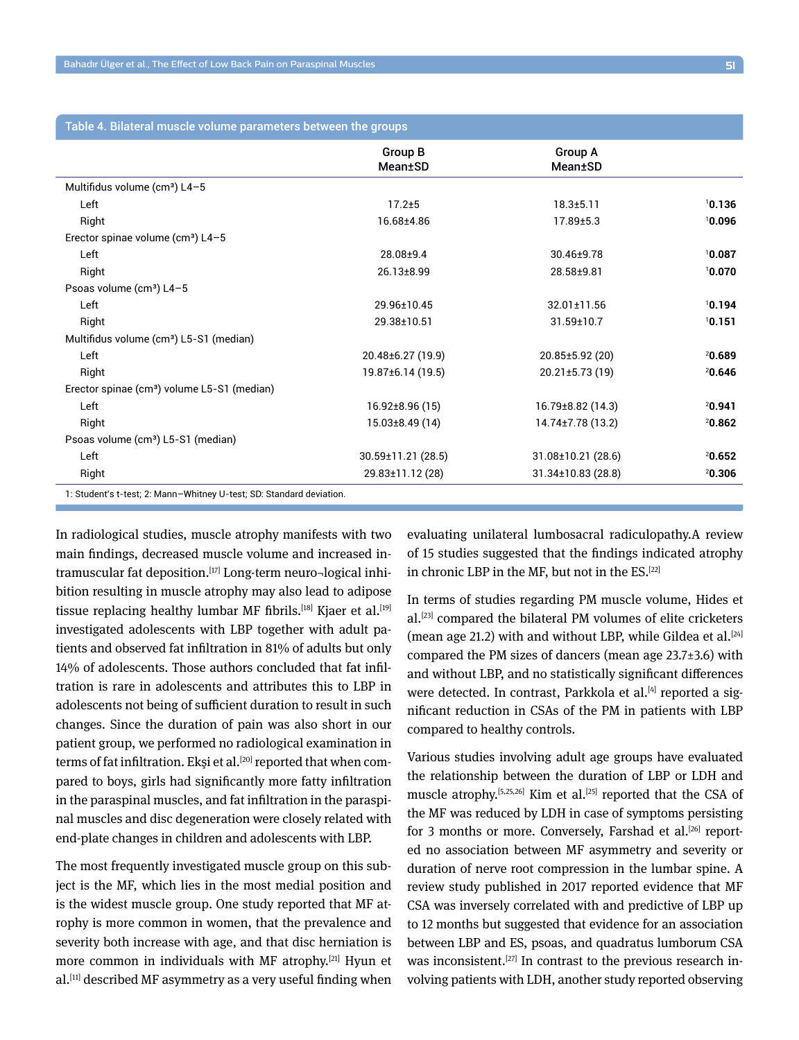|                                                                      | <b>Group B</b>           | Group A                  |        |
|----------------------------------------------------------------------|--------------------------|--------------------------|--------|
|                                                                      | <b>Mean</b> ±SD          | Mean±SD                  |        |
| Multifidus volume ( $cm3$ ) L4-5                                     |                          |                          |        |
| Left                                                                 | $17.2 + 5$               | $18.3 + 5.11$            | 10.136 |
| Right                                                                | 16.68±4.86               | 17.89±5.3                | 10.096 |
| Erector spinae volume (cm <sup>3</sup> ) L4-5                        |                          |                          |        |
| Left                                                                 | 28.08±9.4                | 30.46±9.78               | 10.087 |
| Right                                                                | 26.13±8.99               | 28.58±9.81               | 10.070 |
| Psoas volume (cm <sup>3</sup> ) L4-5                                 |                          |                          |        |
| Left                                                                 | 29.96±10.45              | 32.01±11.56              | 10.194 |
| Right                                                                | 29.38±10.51              | $31.59 \pm 10.7$         | 10.151 |
| Multifidus volume (cm <sup>3</sup> ) L5-S1 (median)                  |                          |                          |        |
| Left                                                                 | 20.48±6.27 (19.9)        | $20.85 \pm 5.92(20)$     | 20.689 |
| Right                                                                | 19.87±6.14 (19.5)        | $20.21 \pm 5.73(19)$     | 20.646 |
| Erector spinae (cm <sup>3</sup> ) volume L5-S1 (median)              |                          |                          |        |
| Left                                                                 | $16.92 \pm 8.96(15)$     | 16.79±8.82 (14.3)        | 20.941 |
| Right                                                                | $15.03\pm8.49(14)$       | 14.74±7.78 (13.2)        | 20.862 |
| Psoas volume (cm <sup>3</sup> ) L5-S1 (median)                       |                          |                          |        |
| Left                                                                 | $30.59 \pm 11.21$ (28.5) | $31.08 \pm 10.21$ (28.6) | 20.652 |
| Right                                                                | 29.83±11.12 (28)         | $31.34 \pm 10.83$ (28.8) | 20.306 |
| 1: Student's t-test; 2: Mann-Whitney U-test; SD: Standard deviation. |                          |                          |        |

In radiological studies, muscle atrophy manifests with two main findings, decreased muscle volume and increased intramuscular fat deposition.<sup>[17]</sup> Long-term neuro-logical inhibition resulting in muscle atrophy may also lead to adipose tissue replacing healthy lumbar MF fibrils.<sup>[18]</sup> Kjaer et al.<sup>[19]</sup> investigated adolescents with LBP together with adult patients and observed fat infiltration in 81% of adults but only 14% of adolescents. Those authors concluded that fat infiltration is rare in adolescents and attributes this to LBP in adolescents not being of sufficient duration to result in such changes. Since the duration of pain was also short in our patient group, we performed no radiological examination in terms of fat infiltration. Eksi et al.<sup>[20]</sup> reported that when compared to boys, girls had significantly more fatty infiltration in the paraspinal muscles, and fat infiltration in the paraspinal muscles and disc degeneration were closely related with end-plate changes in children and adolescents with LBP.

The most frequently investigated muscle group on this subject is the MF, which lies in the most medial position and is the widest muscle group. One study reported that MF atrophy is more common in women, that the prevalence and severity both increase with age, and that disc herniation is more common in individuals with MF atrophy.[21] Hyun et al.<sup>[11]</sup> described MF asymmetry as a very useful finding when evaluating unilateral lumbosacral radiculopathy.A review of 15 studies suggested that the findings indicated atrophy in chronic LBP in the MF, but not in the ES.[22]

In terms of studies regarding PM muscle volume, Hides et al.[23] compared the bilateral PM volumes of elite cricketers (mean age 21.2) with and without LBP, while Gildea et al.  $[24]$ compared the PM sizes of dancers (mean age 23.7±3.6) with and without LBP, and no statistically significant differences were detected. In contrast, Parkkola et al.<sup>[4]</sup> reported a significant reduction in CSAs of the PM in patients with LBP compared to healthy controls.

Various studies involving adult age groups have evaluated the relationship between the duration of LBP or LDH and muscle atrophy.<sup>[5,25,26]</sup> Kim et al.<sup>[25]</sup> reported that the CSA of the MF was reduced by LDH in case of symptoms persisting for 3 months or more. Conversely, Farshad et al.<sup>[26]</sup> reported no association between MF asymmetry and severity or duration of nerve root compression in the lumbar spine. A review study published in 2017 reported evidence that MF CSA was inversely correlated with and predictive of LBP up to 12 months but suggested that evidence for an association between LBP and ES, psoas, and quadratus lumborum CSA was inconsistent.<sup>[27]</sup> In contrast to the previous research involving patients with LDH, another study reported observing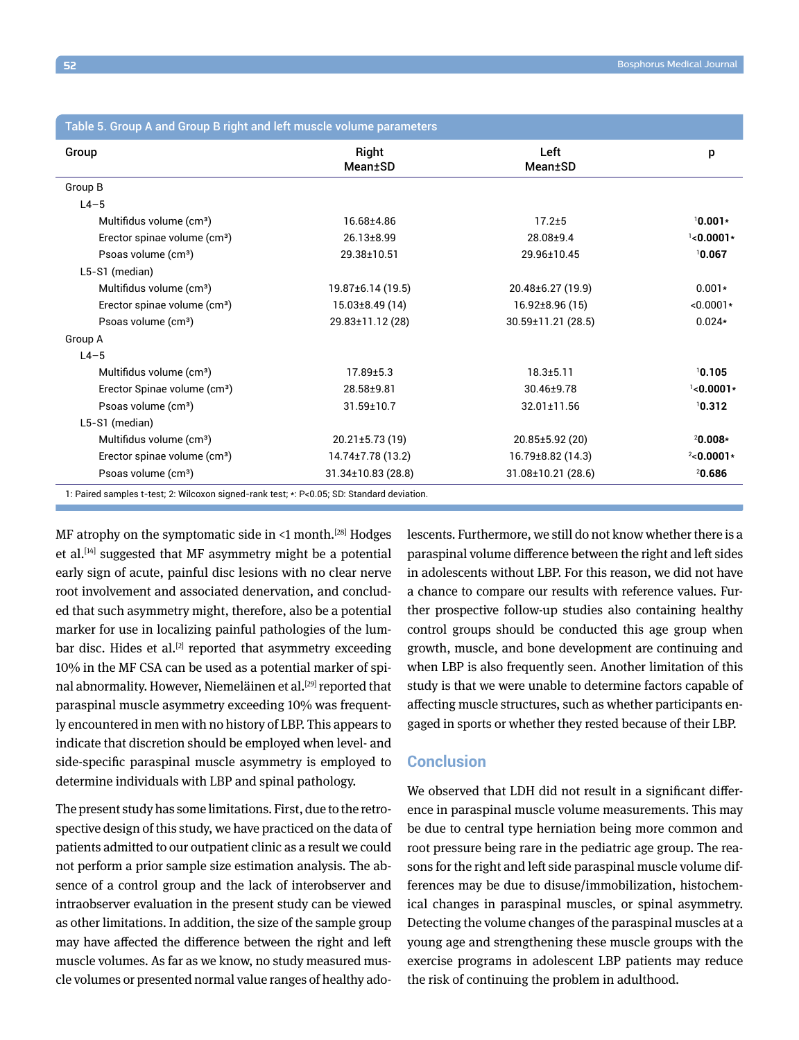|                                          |                         | Left                 |              |
|------------------------------------------|-------------------------|----------------------|--------------|
| Group                                    | Right<br>Mean±SD        | Mean±SD              | p            |
|                                          |                         |                      |              |
| Group B                                  |                         |                      |              |
| $L4-5$                                   |                         |                      |              |
| Multifidus volume (cm <sup>3</sup> )     | 16.68±4.86              | $17.2 + 5$           | $10.001*$    |
| Erector spinae volume (cm <sup>3</sup> ) | 26.13±8.99              | 28.08±9.4            | $1$ <0.0001* |
| Psoas volume (cm <sup>3</sup> )          | 29.38±10.51             | 29.96±10.45          | 10.067       |
| L5-S1 (median)                           |                         |                      |              |
| Multifidus volume (cm <sup>3</sup> )     | 19.87±6.14 (19.5)       | 20.48±6.27 (19.9)    | $0.001*$     |
| Erector spinae volume (cm <sup>3</sup> ) | $15.03\pm8.49(14)$      | $16.92 \pm 8.96(15)$ | $<0.0001*$   |
| Psoas volume (cm <sup>3</sup> )          | 29.83±11.12 (28)        | 30.59±11.21 (28.5)   | $0.024*$     |
| Group A                                  |                         |                      |              |
| $L4-5$                                   |                         |                      |              |
| Multifidus volume (cm <sup>3</sup> )     | $17.89 \pm 5.3$         | $18.3 \pm 5.11$      | 10.105       |
| Erector Spinae volume (cm <sup>3</sup> ) | 28.58±9.81              | 30.46±9.78           | $1$ <0.0001* |
| Psoas volume (cm <sup>3</sup> )          | $31.59 \pm 10.7$        | 32.01±11.56          | 10.312       |
| L5-S1 (median)                           |                         |                      |              |
| Multifidus volume (cm <sup>3</sup> )     | $20.21 \pm 5.73(19)$    | $20.85 \pm 5.92(20)$ | 20.008*      |
| Erector spinae volume (cm <sup>3</sup> ) | 14.74±7.78 (13.2)       | 16.79±8.82 (14.3)    | $2$ <0.0001* |
| Psoas volume (cm <sup>3</sup> )          | $31.34 \pm 10.83(28.8)$ | 31.08±10.21 (28.6)   | 20.686       |

1: Paired samples t-test; 2: Wilcoxon signed-rank test; \*: P<0.05; SD: Standard deviation.

MF atrophy on the symptomatic side in  $\leq 1$  month.<sup>[28]</sup> Hodges et al.<sup>[14]</sup> suggested that MF asymmetry might be a potential early sign of acute, painful disc lesions with no clear nerve root involvement and associated denervation, and concluded that such asymmetry might, therefore, also be a potential marker for use in localizing painful pathologies of the lumbar disc. Hides et al.<sup>[2]</sup> reported that asymmetry exceeding 10% in the MF CSA can be used as a potential marker of spinal abnormality. However, Niemeläinen et al.<sup>[29]</sup> reported that paraspinal muscle asymmetry exceeding 10% was frequently encountered in men with no history of LBP. This appears to indicate that discretion should be employed when level- and side-specific paraspinal muscle asymmetry is employed to determine individuals with LBP and spinal pathology.

The present study has some limitations. First, due to the retrospective design of this study, we have practiced on the data of patients admitted to our outpatient clinic as a result we could not perform a prior sample size estimation analysis. The absence of a control group and the lack of interobserver and intraobserver evaluation in the present study can be viewed as other limitations. In addition, the size of the sample group may have affected the difference between the right and left muscle volumes. As far as we know, no study measured muscle volumes or presented normal value ranges of healthy adolescents. Furthermore, we still do not know whether there is a paraspinal volume difference between the right and left sides in adolescents without LBP. For this reason, we did not have a chance to compare our results with reference values. Further prospective follow-up studies also containing healthy control groups should be conducted this age group when growth, muscle, and bone development are continuing and when LBP is also frequently seen. Another limitation of this study is that we were unable to determine factors capable of affecting muscle structures, such as whether participants engaged in sports or whether they rested because of their LBP.

## **Conclusion**

We observed that LDH did not result in a significant difference in paraspinal muscle volume measurements. This may be due to central type herniation being more common and root pressure being rare in the pediatric age group. The reasons for the right and left side paraspinal muscle volume differences may be due to disuse/immobilization, histochemical changes in paraspinal muscles, or spinal asymmetry. Detecting the volume changes of the paraspinal muscles at a young age and strengthening these muscle groups with the exercise programs in adolescent LBP patients may reduce the risk of continuing the problem in adulthood.